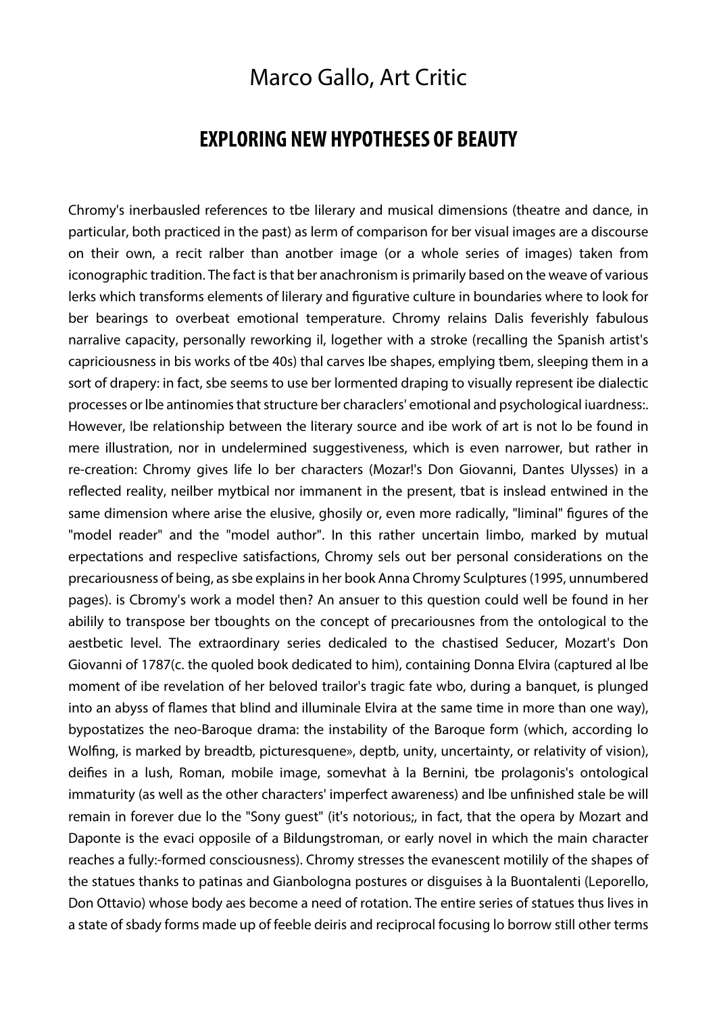## Marco Gallo, Art Critic

## **EXPLORING NEW HYPOTHESES OF BEAUTY**

Chromy's inerbausled references to tbe lilerary and musical dimensions (theatre and dance, in particular, both practiced in the past) as lerm of comparison for ber visual images are a discourse on their own, a recit ralber than anotber image (or a whole series of images) taken from iconographic tradition. The fact is that ber anachronism is primarily based on the weave of various lerks which transforms elements of lilerary and figurative culture in boundaries where to look for ber bearings to overbeat emotional temperature. Chromy relains Dalis feverishly fabulous narralive capacity, personally reworking il, logether with a stroke (recalling the Spanish artist's capriciousness in bis works of tbe 40s) thal carves Ibe shapes, emplying tbem, sleeping them in a sort of drapery: in fact, sbe seems to use ber lormented draping to visually represent ibe dialectic processes or lbe antinomies that structure ber characlers' emotional and psychological iuardness:. However, Ibe relationship between the literary source and ibe work of art is not lo be found in mere illustration, nor in undelermined suggestiveness, which is even narrower, but rather in re-creation: Chromy gives life lo ber characters (Mozar!'s Don Giovanni, Dantes Ulysses) in a reflected reality, neilber mytbical nor immanent in the present, tbat is inslead entwined in the same dimension where arise the elusive, ghosily or, even more radically, "liminal" figures of the "model reader" and the "model author". In this rather uncertain limbo, marked by mutual erpectations and respeclive satisfactions, Chromy sels out ber personal considerations on the precariousness of being, as sbe explains in her book Anna Chromy Sculptures (1995, unnumbered pages). is Cbromy's work a model then? An ansuer to this question could well be found in her abilily to transpose ber tboughts on the concept of precariousnes from the ontological to the aestbetic level. The extraordinary series dedicaled to the chastised Seducer, Mozart's Don Giovanni of 1787(c. the quoled book dedicated to him), containing Donna Elvira (captured al lbe moment of ibe revelation of her beloved trailor's tragic fate wbo, during a banquet, is plunged into an abyss of flames that blind and illuminale Elvira at the same time in more than one way), bypostatizes the neo-Baroque drama: the instability of the Baroque form (which, according lo Wolfing, is marked by breadtb, picturesquene», deptb, unity, uncertainty, or relativity of vision), deifies in a lush, Roman, mobile image, somevhat à la Bernini, tbe prolagonis's ontological immaturity (as well as the other characters' imperfect awareness) and lbe unfinished stale be will remain in forever due lo the "Sony guest" (it's notorious;, in fact, that the opera by Mozart and Daponte is the evaci opposile of a Bildungstroman, or early novel in which the main character reaches a fully:-formed consciousness). Chromy stresses the evanescent motilily of the shapes of the statues thanks to patinas and Gianbologna postures or disguises à la Buontalenti (Leporello, Don Ottavio) whose body aes become a need of rotation. The entire series of statues thus lives in a state of sbady forms made up of feeble deiris and reciprocal focusing lo borrow still other terms